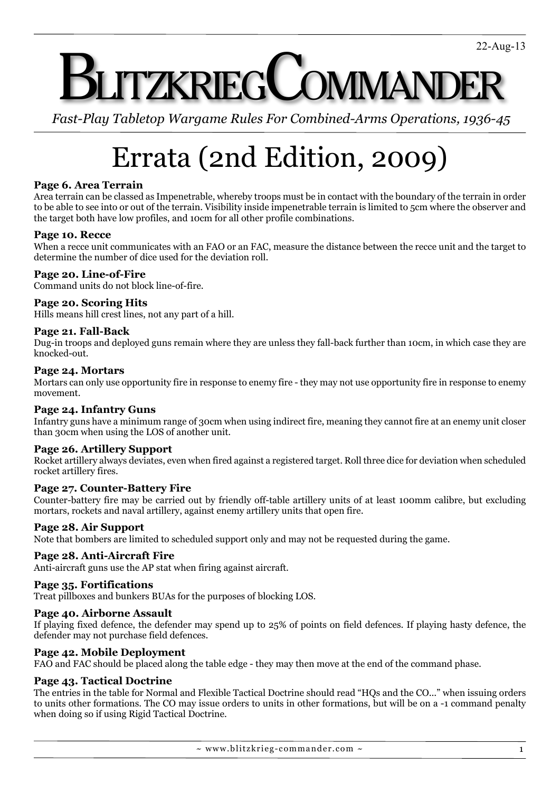# **JTZKRIEGCOMMAND**

*Fast-Play Tabletop Wargame Rules For Combined-Arms Operations, 1936-45*

# Errata (2nd Edition, 2009)

# **Page 6. Area Terrain**

Area terrain can be classed as Impenetrable, whereby troops must be in contact with the boundary of the terrain in order to be able to see into or out of the terrain. Visibility inside impenetrable terrain is limited to 5cm where the observer and the target both have low profiles, and 10cm for all other profile combinations.

# **Page 10. Recce**

When a recce unit communicates with an FAO or an FAC, measure the distance between the recce unit and the target to determine the number of dice used for the deviation roll.

# **Page 20. Line-of-Fire**

Command units do not block line-of-fire.

# **Page 20. Scoring Hits**

Hills means hill crest lines, not any part of a hill.

# **Page 21. Fall-Back**

Dug-in troops and deployed guns remain where they are unless they fall-back further than 10cm, in which case they are knocked-out.

#### **Page 24. Mortars**

Mortars can only use opportunity fire in response to enemy fire - they may not use opportunity fire in response to enemy movement.

# **Page 24. Infantry Guns**

Infantry guns have a minimum range of 30cm when using indirect fire, meaning they cannot fire at an enemy unit closer than 30cm when using the LOS of another unit.

#### **Page 26. Artillery Support**

Rocket artillery always deviates, even when fired against a registered target. Roll three dice for deviation when scheduled rocket artillery fires.

#### **Page 27. Counter-Battery Fire**

Counter-battery fire may be carried out by friendly off-table artillery units of at least 100mm calibre, but excluding mortars, rockets and naval artillery, against enemy artillery units that open fire.

#### **Page 28. Air Support**

Note that bombers are limited to scheduled support only and may not be requested during the game.

# **Page 28. Anti-Aircraft Fire**

Anti-aircraft guns use the AP stat when firing against aircraft.

#### **Page 35. Fortifications**

Treat pillboxes and bunkers BUAs for the purposes of blocking LOS.

#### **Page 40. Airborne Assault**

If playing fixed defence, the defender may spend up to 25% of points on field defences. If playing hasty defence, the defender may not purchase field defences.

#### **Page 42. Mobile Deployment**

FAO and FAC should be placed along the table edge - they may then move at the end of the command phase.

# **Page 43. Tactical Doctrine**

The entries in the table for Normal and Flexible Tactical Doctrine should read "HQs and the CO..." when issuing orders to units other formations. The CO may issue orders to units in other formations, but will be on a -1 command penalty when doing so if using Rigid Tactical Doctrine.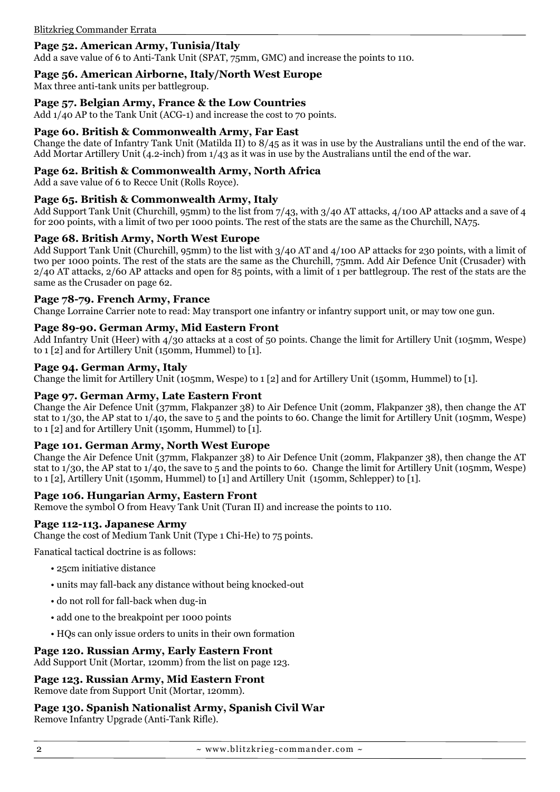# **Page 52. American Army, Tunisia/Italy**

Add a save value of 6 to Anti-Tank Unit (SPAT, 75mm, GMC) and increase the points to 110.

#### **Page 56. American Airborne, Italy/North West Europe**

Max three anti-tank units per battlegroup.

#### **Page 57. Belgian Army, France & the Low Countries**

Add 1/40 AP to the Tank Unit (ACG-1) and increase the cost to 70 points.

#### **Page 60. British & Commonwealth Army, Far East**

Change the date of Infantry Tank Unit (Matilda II) to 8/45 as it was in use by the Australians until the end of the war. Add Mortar Artillery Unit (4.2-inch) from 1/43 as it was in use by the Australians until the end of the war.

#### **Page 62. British & Commonwealth Army, North Africa**

Add a save value of 6 to Recce Unit (Rolls Royce).

#### **Page 65. British & Commonwealth Army, Italy**

Add Support Tank Unit (Churchill, 95mm) to the list from 7/43, with 3/40 AT attacks, 4/100 AP attacks and a save of 4 for 200 points, with a limit of two per 1000 points. The rest of the stats are the same as the Churchill, NA75.

#### **Page 68. British Army, North West Europe**

Add Support Tank Unit (Churchill, 95mm) to the list with 3/40 AT and 4/100 AP attacks for 230 points, with a limit of two per 1000 points. The rest of the stats are the same as the Churchill, 75mm. Add Air Defence Unit (Crusader) with 2/40 AT attacks, 2/60 AP attacks and open for 85 points, with a limit of 1 per battlegroup. The rest of the stats are the same as the Crusader on page 62.

#### **Page 78-79. French Army, France**

Change Lorraine Carrier note to read: May transport one infantry or infantry support unit, or may tow one gun.

#### **Page 89-90. German Army, Mid Eastern Front**

Add Infantry Unit (Heer) with 4/30 attacks at a cost of 50 points. Change the limit for Artillery Unit (105mm, Wespe) to 1 [2] and for Artillery Unit (150mm, Hummel) to [1].

#### **Page 94. German Army, Italy**

Change the limit for Artillery Unit (105mm, Wespe) to 1 [2] and for Artillery Unit (150mm, Hummel) to [1].

#### **Page 97. German Army, Late Eastern Front**

Change the Air Defence Unit (37mm, Flakpanzer 38) to Air Defence Unit (20mm, Flakpanzer 38), then change the AT stat to 1/30, the AP stat to 1/40, the save to 5 and the points to 60. Change the limit for Artillery Unit (105mm, Wespe) to 1 [2] and for Artillery Unit (150mm, Hummel) to  $[1]$ .

#### **Page 101. German Army, North West Europe**

Change the Air Defence Unit (37mm, Flakpanzer 38) to Air Defence Unit (20mm, Flakpanzer 38), then change the AT stat to 1/30, the AP stat to 1/40, the save to 5 and the points to 60. Change the limit for Artillery Unit (105mm, Wespe) to 1 [2], Artillery Unit (150mm, Hummel) to [1] and Artillery Unit (150mm, Schlepper) to [1].

#### **Page 106. Hungarian Army, Eastern Front**

Remove the symbol O from Heavy Tank Unit (Turan II) and increase the points to 110.

# **Page 112-113. Japanese Army**

Change the cost of Medium Tank Unit (Type 1 Chi-He) to 75 points.

Fanatical tactical doctrine is as follows:

- 25cm initiative distance
- units may fall-back any distance without being knocked-out
- do not roll for fall-back when dug-in
- add one to the breakpoint per 1000 points
- HQs can only issue orders to units in their own formation

#### **Page 120. Russian Army, Early Eastern Front**

Add Support Unit (Mortar, 120mm) from the list on page 123.

# **Page 123. Russian Army, Mid Eastern Front**

Remove date from Support Unit (Mortar, 120mm).

# **Page 130. Spanish Nationalist Army, Spanish Civil War**

Remove Infantry Upgrade (Anti-Tank Rifle).